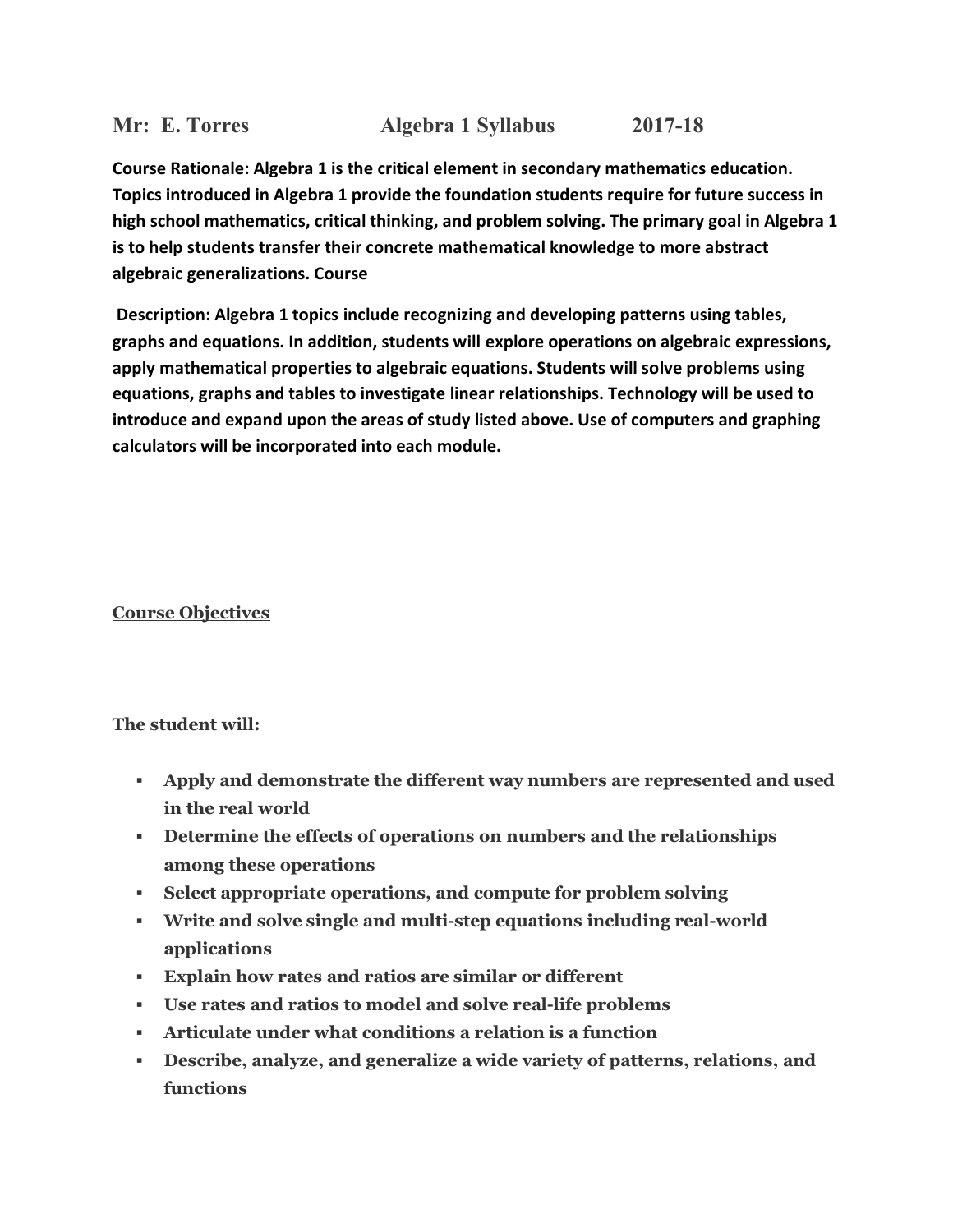# **Mr: E. Torres Algebra 1 Syllabus 2017-18**

**Course Rationale: Algebra 1 is the critical element in secondary mathematics education. Topics introduced in Algebra 1 provide the foundation students require for future success in high school mathematics, critical thinking, and problem solving. The primary goal in Algebra 1 is to help students transfer their concrete mathematical knowledge to more abstract algebraic generalizations. Course**

**Description: Algebra 1 topics include recognizing and developing patterns using tables, graphs and equations. In addition, students will explore operations on algebraic expressions, apply mathematical properties to algebraic equations. Students will solve problems using equations, graphs and tables to investigate linear relationships. Technology will be used to introduce and expand upon the areas of study listed above. Use of computers and graphing calculators will be incorporated into each module.**

# **Course Objectives**

### **The student will:**

- § **Apply and demonstrate the different way numbers are represented and used in the real world**
- § **Determine the effects of operations on numbers and the relationships among these operations**
- § **Select appropriate operations, and compute for problem solving**
- § **Write and solve single and multi-step equations including real-world applications**
- § **Explain how rates and ratios are similar or different**
- § **Use rates and ratios to model and solve real-life problems**
- § **Articulate under what conditions a relation is a function**
- § **Describe, analyze, and generalize a wide variety of patterns, relations, and functions**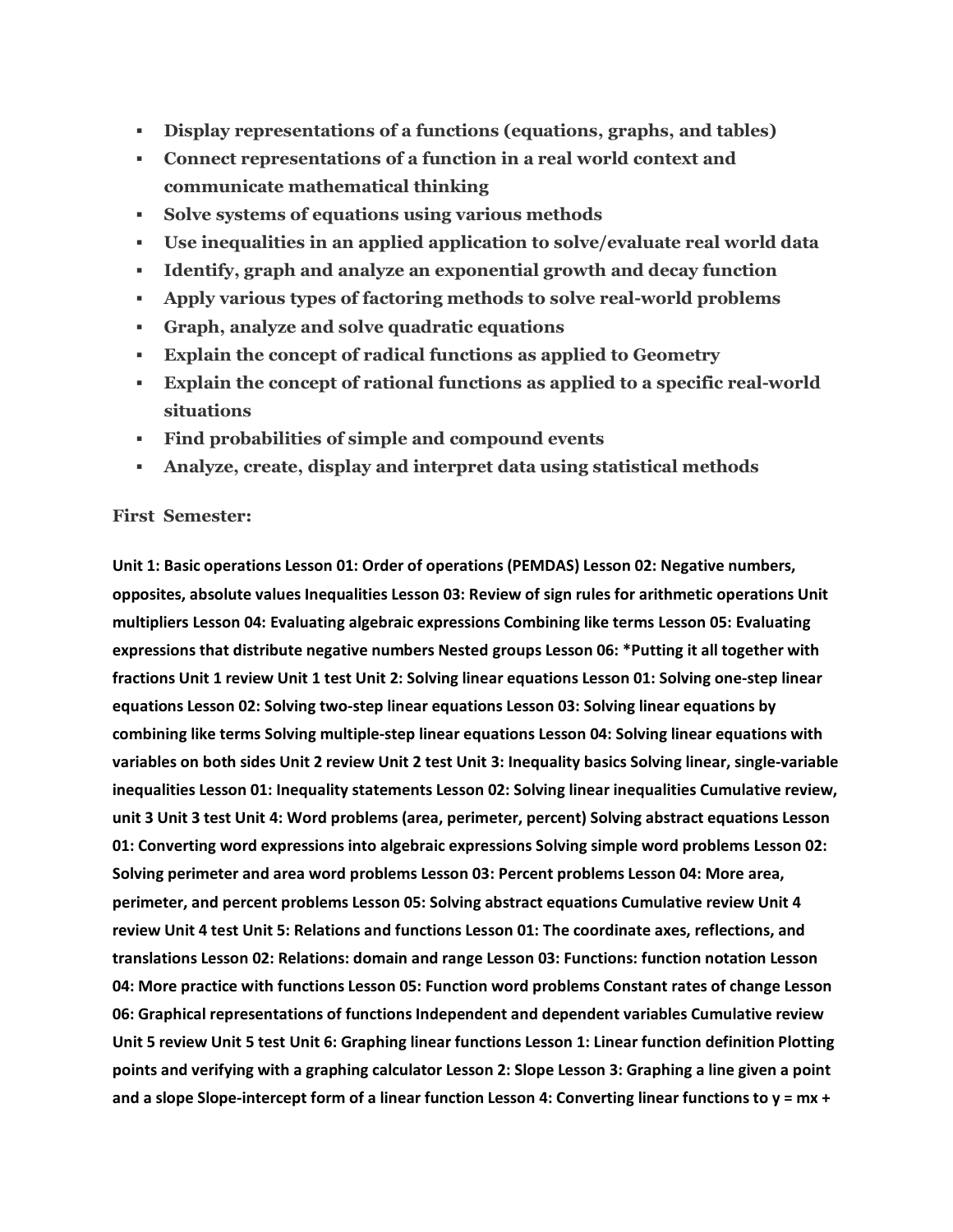- § **Display representations of a functions (equations, graphs, and tables)**
- § **Connect representations of a function in a real world context and communicate mathematical thinking**
- § **Solve systems of equations using various methods**
- § **Use inequalities in an applied application to solve/evaluate real world data**
- § **Identify, graph and analyze an exponential growth and decay function**
- § **Apply various types of factoring methods to solve real-world problems**
- § **Graph, analyze and solve quadratic equations**
- § **Explain the concept of radical functions as applied to Geometry**
- § **Explain the concept of rational functions as applied to a specific real-world situations**
- § **Find probabilities of simple and compound events**
- § **Analyze, create, display and interpret data using statistical methods**

#### **First Semester:**

**Unit 1: Basic operations Lesson 01: Order of operations (PEMDAS) Lesson 02: Negative numbers, opposites, absolute values Inequalities Lesson 03: Review of sign rules for arithmetic operations Unit multipliers Lesson 04: Evaluating algebraic expressions Combining like terms Lesson 05: Evaluating expressions that distribute negative numbers Nested groups Lesson 06: \*Putting it all together with fractions Unit 1 review Unit 1 test Unit 2: Solving linear equations Lesson 01: Solving one-step linear equations Lesson 02: Solving two-step linear equations Lesson 03: Solving linear equations by combining like terms Solving multiple-step linear equations Lesson 04: Solving linear equations with variables on both sides Unit 2 review Unit 2 test Unit 3: Inequality basics Solving linear, single-variable inequalities Lesson 01: Inequality statements Lesson 02: Solving linear inequalities Cumulative review, unit 3 Unit 3 test Unit 4: Word problems (area, perimeter, percent) Solving abstract equations Lesson 01: Converting word expressions into algebraic expressions Solving simple word problems Lesson 02: Solving perimeter and area word problems Lesson 03: Percent problems Lesson 04: More area, perimeter, and percent problems Lesson 05: Solving abstract equations Cumulative review Unit 4 review Unit 4 test Unit 5: Relations and functions Lesson 01: The coordinate axes, reflections, and translations Lesson 02: Relations: domain and range Lesson 03: Functions: function notation Lesson 04: More practice with functions Lesson 05: Function word problems Constant rates of change Lesson 06: Graphical representations of functions Independent and dependent variables Cumulative review Unit 5 review Unit 5 test Unit 6: Graphing linear functions Lesson 1: Linear function definition Plotting points and verifying with a graphing calculator Lesson 2: Slope Lesson 3: Graphing a line given a point and a slope Slope-intercept form of a linear function Lesson 4: Converting linear functions to y = mx +**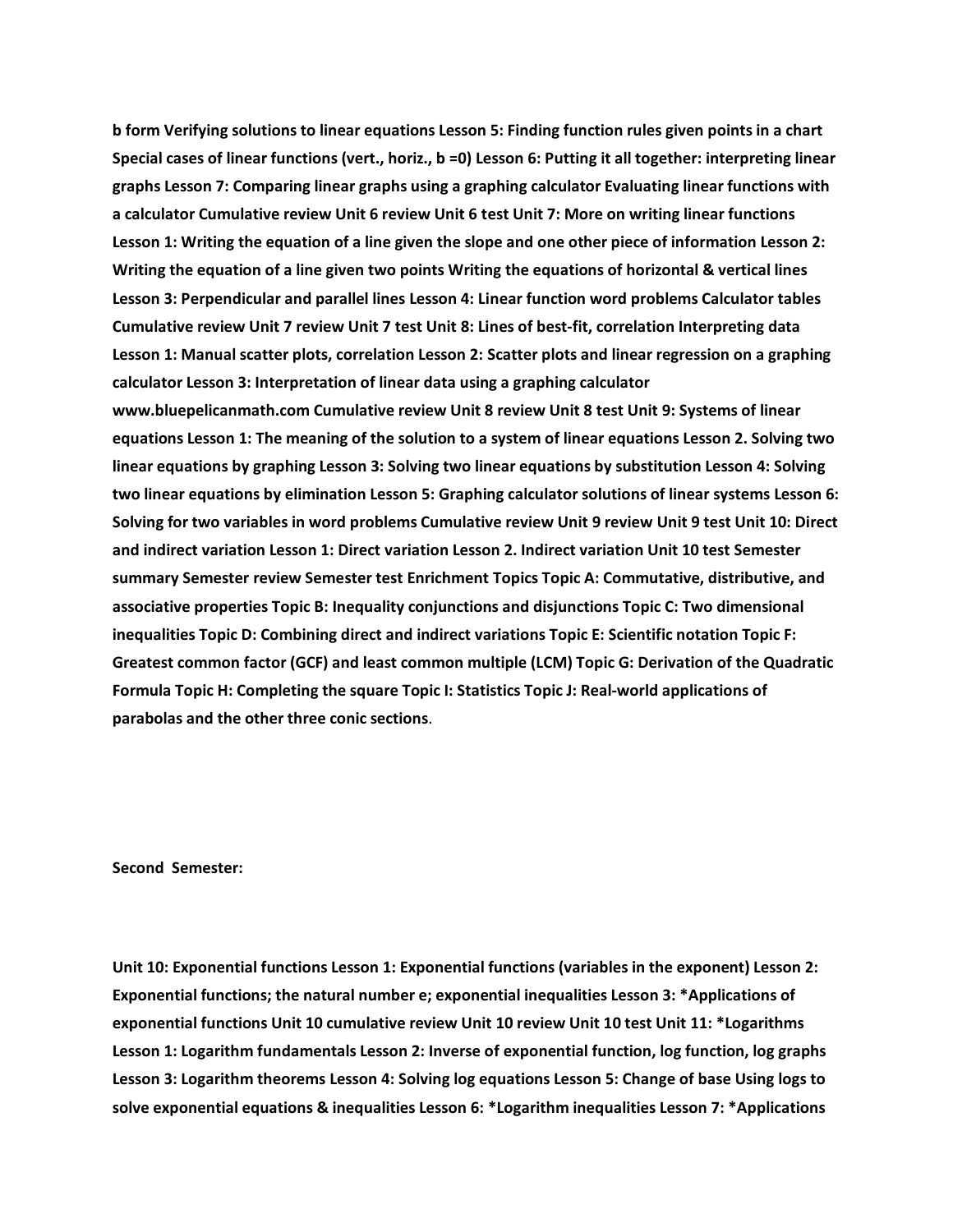**b form Verifying solutions to linear equations Lesson 5: Finding function rules given points in a chart Special cases of linear functions (vert., horiz., b =0) Lesson 6: Putting it all together: interpreting linear graphs Lesson 7: Comparing linear graphs using a graphing calculator Evaluating linear functions with a calculator Cumulative review Unit 6 review Unit 6 test Unit 7: More on writing linear functions Lesson 1: Writing the equation of a line given the slope and one other piece of information Lesson 2: Writing the equation of a line given two points Writing the equations of horizontal & vertical lines Lesson 3: Perpendicular and parallel lines Lesson 4: Linear function word problems Calculator tables Cumulative review Unit 7 review Unit 7 test Unit 8: Lines of best-fit, correlation Interpreting data Lesson 1: Manual scatter plots, correlation Lesson 2: Scatter plots and linear regression on a graphing calculator Lesson 3: Interpretation of linear data using a graphing calculator www.bluepelicanmath.com Cumulative review Unit 8 review Unit 8 test Unit 9: Systems of linear equations Lesson 1: The meaning of the solution to a system of linear equations Lesson 2. Solving two linear equations by graphing Lesson 3: Solving two linear equations by substitution Lesson 4: Solving two linear equations by elimination Lesson 5: Graphing calculator solutions of linear systems Lesson 6: Solving for two variables in word problems Cumulative review Unit 9 review Unit 9 test Unit 10: Direct and indirect variation Lesson 1: Direct variation Lesson 2. Indirect variation Unit 10 test Semester summary Semester review Semester test Enrichment Topics Topic A: Commutative, distributive, and associative properties Topic B: Inequality conjunctions and disjunctions Topic C: Two dimensional inequalities Topic D: Combining direct and indirect variations Topic E: Scientific notation Topic F: Greatest common factor (GCF) and least common multiple (LCM) Topic G: Derivation of the Quadratic Formula Topic H: Completing the square Topic I: Statistics Topic J: Real-world applications of parabolas and the other three conic sections**.

**Second Semester:**

**Unit 10: Exponential functions Lesson 1: Exponential functions (variables in the exponent) Lesson 2: Exponential functions; the natural number e; exponential inequalities Lesson 3: \*Applications of exponential functions Unit 10 cumulative review Unit 10 review Unit 10 test Unit 11: \*Logarithms Lesson 1: Logarithm fundamentals Lesson 2: Inverse of exponential function, log function, log graphs Lesson 3: Logarithm theorems Lesson 4: Solving log equations Lesson 5: Change of base Using logs to solve exponential equations & inequalities Lesson 6: \*Logarithm inequalities Lesson 7: \*Applications**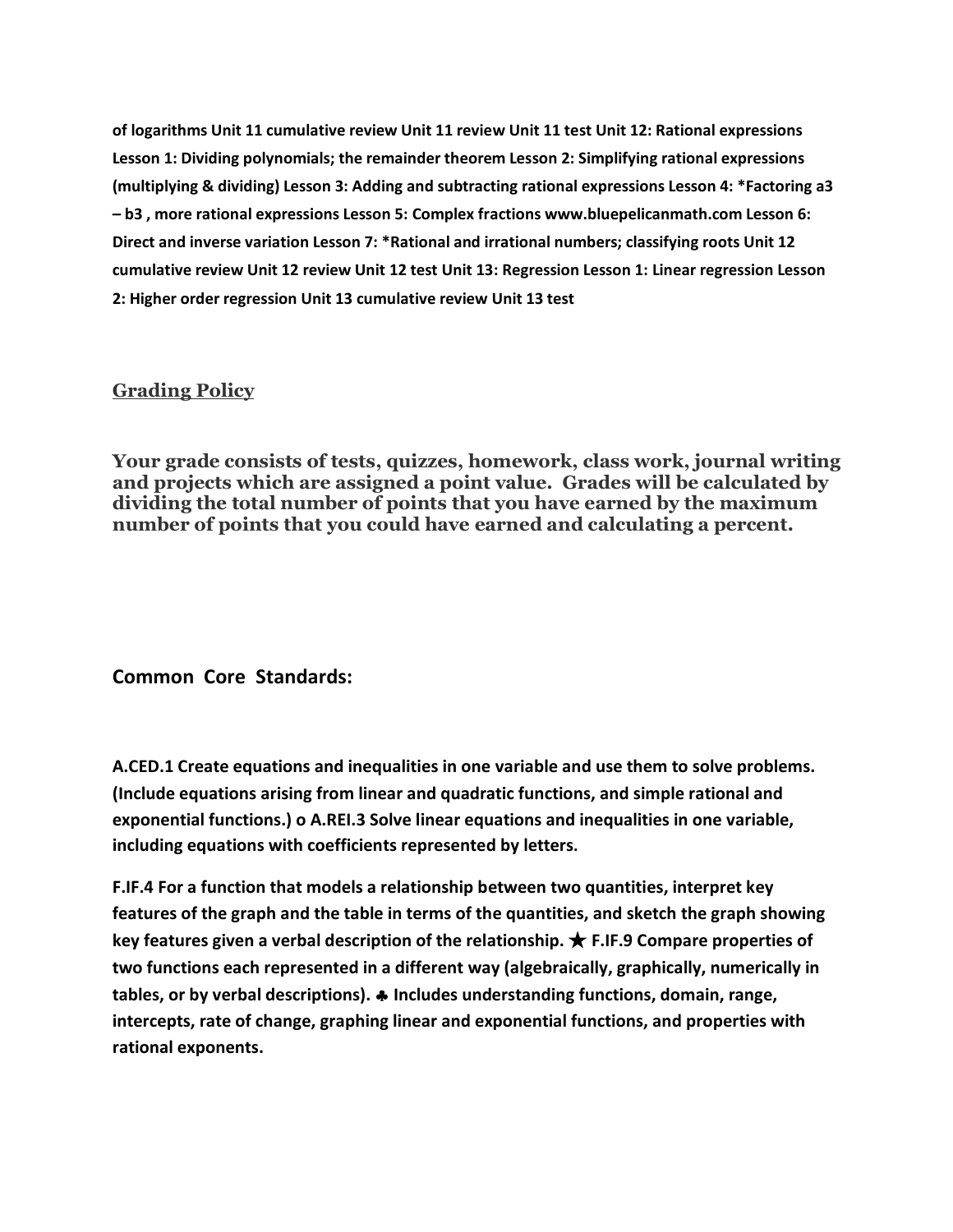**of logarithms Unit 11 cumulative review Unit 11 review Unit 11 test Unit 12: Rational expressions Lesson 1: Dividing polynomials; the remainder theorem Lesson 2: Simplifying rational expressions (multiplying & dividing) Lesson 3: Adding and subtracting rational expressions Lesson 4: \*Factoring a3 – b3 , more rational expressions Lesson 5: Complex fractions www.bluepelicanmath.com Lesson 6: Direct and inverse variation Lesson 7: \*Rational and irrational numbers; classifying roots Unit 12 cumulative review Unit 12 review Unit 12 test Unit 13: Regression Lesson 1: Linear regression Lesson 2: Higher order regression Unit 13 cumulative review Unit 13 test**

## **Grading Policy**

**Your grade consists of tests, quizzes, homework, class work, journal writing and projects which are assigned a point value. Grades will be calculated by dividing the total number of points that you have earned by the maximum number of points that you could have earned and calculating a percent.**

### **Common Core Standards:**

**A.CED.1 Create equations and inequalities in one variable and use them to solve problems. (Include equations arising from linear and quadratic functions, and simple rational and exponential functions.) o A.REI.3 Solve linear equations and inequalities in one variable, including equations with coefficients represented by letters.**

**F.IF.4 For a function that models a relationship between two quantities, interpret key features of the graph and the table in terms of the quantities, and sketch the graph showing key features given a verbal description of the relationship.** ★ **F.IF.9 Compare properties of two functions each represented in a different way (algebraically, graphically, numerically in tables, or by verbal descriptions).** § **Includes understanding functions, domain, range, intercepts, rate of change, graphing linear and exponential functions, and properties with rational exponents.**